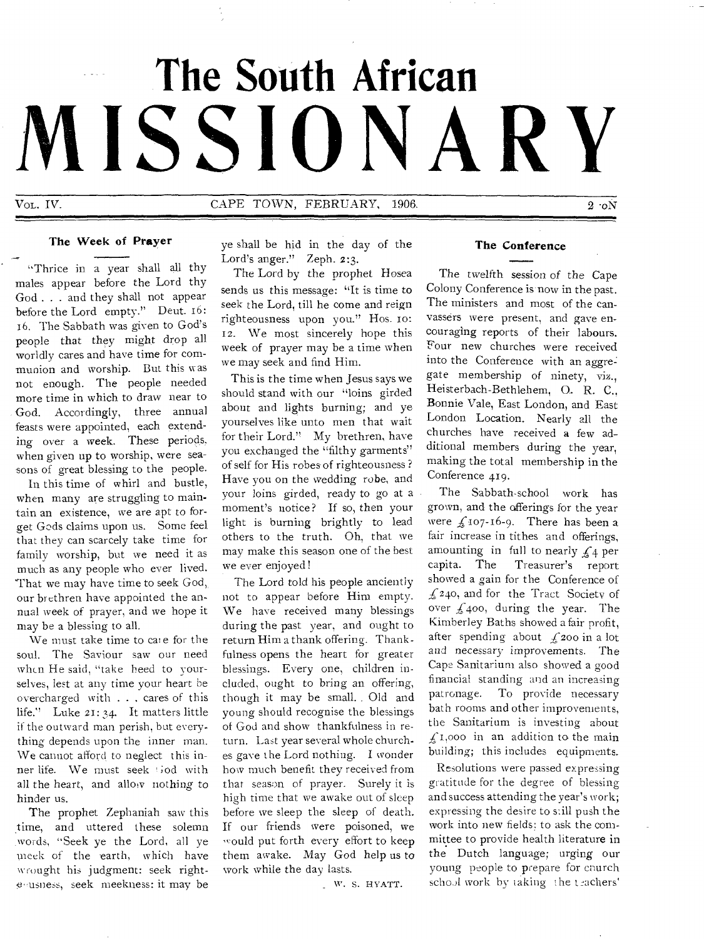# **The South African MISSIONARY**

VOL. IV. CAPE TOWN, FEBRUARY, 1906. 2 to 2 to 2 to 2

# The Week of Prayer

"Thrice in a year shall all thy males appear before the Lord thy God . . . and they shall not appear before the Lord empty." Deut. 16: 16. The Sabbath was given to God's people that they might drop all worldly cares and have time for communion and worship. But this was not enough. The people needed more time in which to draw near to God. Accordingly, three annual feasts were appointed, each extending over a week. These periods, when given up to worship, were seasons of great blessing to the people.

In this time of whirl and bustle, when many are struggling to maintain an existence, we are apt to forget Gods claims upon us. Some feel that they can scarcely take time for family worship, but we need it as much as any people who ever lived. That we may have time to seek God, our brethren have appointed the annual week of prayer, and we hope it may be a blessing to all.

We must take time to cate for the soul. The Saviour saw our need when He said, "take heed to yourselves, lest at any time your heart he overcharged with . . , cares of this life." Luke 21:34. It matters little if the outward man perish, but everything depends upon the inner man. We cannot afford to neglect this inner life. We must seek iod with all the heart, and allow nothing to hinder us.

The prophet Zephaniah saw this time, and uttered these solemn words, "Seek ye the Lord, all ye meek of the earth, which have wrought his judgment: seek right<sup>t</sup>eeusness, seek meekness: it may be

ye shall be hid in the day of the Lord's anger." Zeph. 2:3.

The Lord by the prophet Hosea sends us this message: "It is time to seek the Lord, till he come and reign righteousness upon you." Hos. 1o: 12. We most sincerely hope this week of prayer may be a time when we may seek and find Him.

This is the time when Jesus says we should stand with our "loins girded about and lights burning; and ye yourselves like unto men that wait for their Lord." My brethren, have you exchanged the "filthy garments" of self for His robes of righteousness ? Have you on the wedding robe, and your loins girded, ready to go at a moment's notice? If so, then your light is burning brightly to lead others to the truth. Oh, that we may make this season one of the best we ever enjoyed!

The Lord told his people anciently not to appear before Him empty. We have received many blessings during the past year, and ought to return Him a thank offering. Thankfulness opens the heart for greater blessings. Every one, children included, ought to bring an offering, though it may be small. , Old and young should recognise the blessings of God and show thankfulness in return. Last year several whole churches gave the Lord nothing. I wonder how much benefit they received from that season of prayer. Surely it is high time that we awake out of sleep before we sleep the sleep of death. If our friends were poisoned, we would put forth every effort to keep them awake. May God help us to work while the day lasts.

W. S. HYATT.

# The Conference

The twelfth session of the Cape Colony Conference is now in the past. The ministers and most of the canvassers were present, and gave encouraging reports of their labours. Four new churches were received into the Conference with an aggregate membership of ninety, viz., Heisterbach-Bethlehem, O.. R. C., Bonnie Vale, East London, and East London Location. Nearly all the churches have received a few additional members during the year, making the total membership in the Conference 419.

The Sabbath-school work has grown, and the offerings for the year were  $f_1$ 107-16-9. There has been a fair increase in tithes and offerings, amounting in full to nearly  $f_4$  per capita. The Treasurer's report showed a gain for the Conference of  $f<sub>240</sub>$ , and for the Tract Society of over  $\sqrt{400}$ , during the year. The Kimberley Baths showed a fair profit, after spending about  $f_2$ 200 in a lot and necessary improvements. The Cape Sanitarium also showed a good financial standing and an increasing patronage. To provide necessary bath rooms and other improvements, the Sanitarium is investing about  $f_{1,000}$  in an addition to the main building; this includes equipments.

Resolutions were passed expressing gratitude for the degree of blessing and success attending the year's work; expressing the desire to still push the work into new fields; to ask the committee to provide health literature in the Dutch language; urging our young people to prepare for church school work by taking the teachers'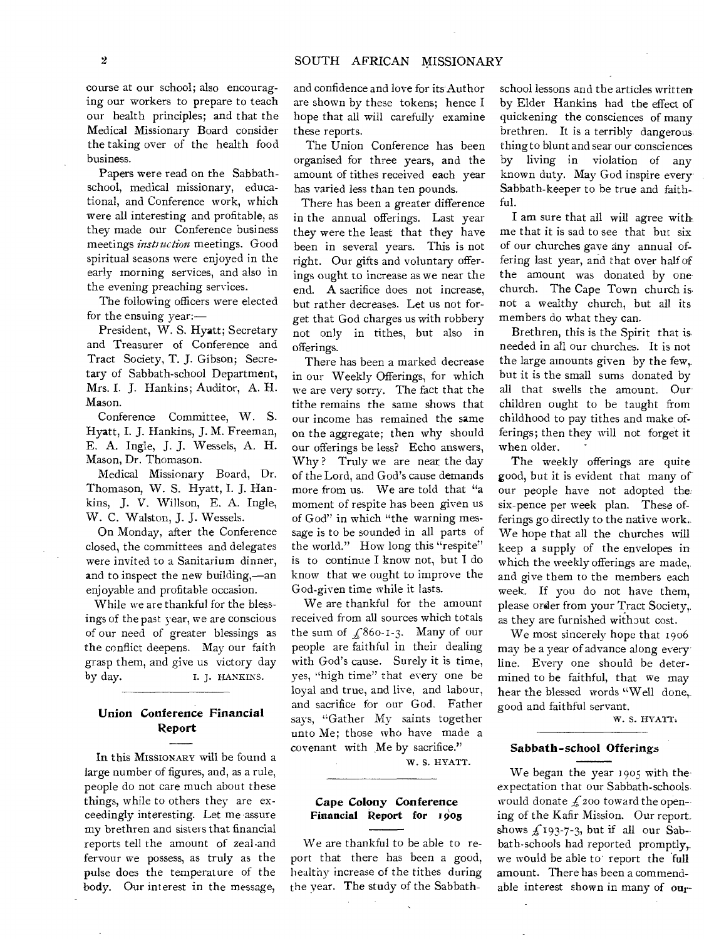course at our school; also encouraging our workers to prepare to teach our health principles; and that the Medical Missionary Board consider the taking over of the health food business.

Papers were read on the Sabbathschool, medical missionary, educational, and Conference work, which were all interesting and profitable, as they made our Conference business meetings *insti uction* meetings. Good spiritual seasons were enjoyed in the early morning services, and also in the evening preaching services.

The following officers were elected for the ensuing year:—

President, W. S. Hyatt; Secretary and Treasurer of Conference and Tract Society, T. J. Gibson; Secretary of Sabbath-school Department, Mrs. I. J. Hankins; Auditor, A. H. Mason.

Conference Committee, W. S. Hyatt, I. J. Hankins, J. M. Freeman, E. A. Ingle, J. J. Wessels, A. H. Mason, Dr. Thomason.

Medical Missionary Board, Dr. Thomason, W. S. Hyatt, I. J. Hankins, J. V. Willson, E. A. Ingle, W. C. Walston, J. J. Wessels.

On Monday, after the Conference closed, the committees and delegates were invited to a Sanitarium dinner, and to inspect the new building,—an enjoyable and profitable occasion.

While we are thankful for the blessings of the past year, we are conscious of our need of greater blessings as the conflict deepens. May our faith grasp them, and give us victory day by day. I. J. HANKINS.

# **Union Conference Financial Report**

In this MISSIONARY will be found a large number of figures, and, as a rule, people do not care much about these things, while to others they are exceedingly interesting. Let me assure my brethren and sisters that financial reports tell the amount of zeal-and fervour we possess, as truly as the pulse does the temperature of the body. Our interest in the message,

and confidence and love for its Author are shown by these tokens; hence I hope that all will carefully examine these reports.

The Union Conference has been organised for three years, and the amount of tithes received each year has varied less than ten pounds.

There has been a greater difference in the annual offerings. Last year they were the least that they have been in several years. This is not right. Our gifts and voluntary offerings ought to increase as we near the end. A sacrifice does not increase, but rather decreases. Let us not forget that God charges us with robbery not only in tithes, but also in offerings.

There has been a marked decrease in our Weekly Offerings, for which we are very sorry. The fact that the tithe remains the same shows that our income has remained the same on the aggregate; then why should our offerings be less? Echo answers, Why ? Truly we are near the day of the Lord, and God's cause demands more from us. We are told that "a moment of respite has been given us of God" in which "the warning message is to be sounded in all parts of the world." How long this "respite" is to continue I know not, but I do know that we ought to improve the God-given time while it lasts.

We are thankful for the amount received from all sources which totals the sum of  $\angle$ 860-1-3. Many of our people are faithful in their dealing with God's cause. Surely it is time, yes, "high time" that every one be loyal and true, and live, and labour, and sacrifice for our God. Father says, "Gather My saints together unto Me; those who have made a covenant with Me by sacrifice."

W. S. HYATT.

### **Cape Colony Conference Financial Report for 1905**

We are thankful to be able to report that there has been a good, healthy increase of the tithes during the year. The study of the Sabbath-

school lessons and the articles written by Elder Hankins had the effect of quickening the consciences of many brethren. It is a terribly dangerous thing to blunt and sear our consciences by living in violation of any known duty. May God inspire every Sabbath-keeper to be true and faith $f_{nl}$ 

I am sure that all will agree with, me that it is sad to see that but six of our churches gave any annual offering last year, and that over half of the amount was donated by one church. The Cape Town church is• not a wealthy church, but all its members do what they can.

Brethren, this is the Spirit that is. needed in all our churches. It is not the large amounts given by the few,. but it is the small sums donated by all that swells the amount. Our children ought to be taught from childhood to pay tithes and make offerings; then they will not forget it when older.

The weekly offerings are quite good, but it is evident that many of our people have not adopted the six-pence per week plan. These offerings go directly to the native work. We hope that all the churches will keep a supply of the envelopes in which the weekly offerings are made, and give them to the members each week. If you do not have them, please order from your Tract Society,. as they are furnished without cost.

We most sincerely hope that 1906 may be a year of advance along every line. Every one should be determined to be faithful, that we may hear the blessed words "Well done,. good and faithful servant.

W. S. HYATT.

# **Sabbath -school Offerings**

We began the year 1905 with theexpectation that our Sabbath-schools would donate  $f_2$  200 toward the opening of the Kafir Mission. Our reportshows  $f_{193-7-3}$ , but if all our Sabbath-schools had reported promptly,. we would be able to report the full amount. There has been a commendable interest shown in many of our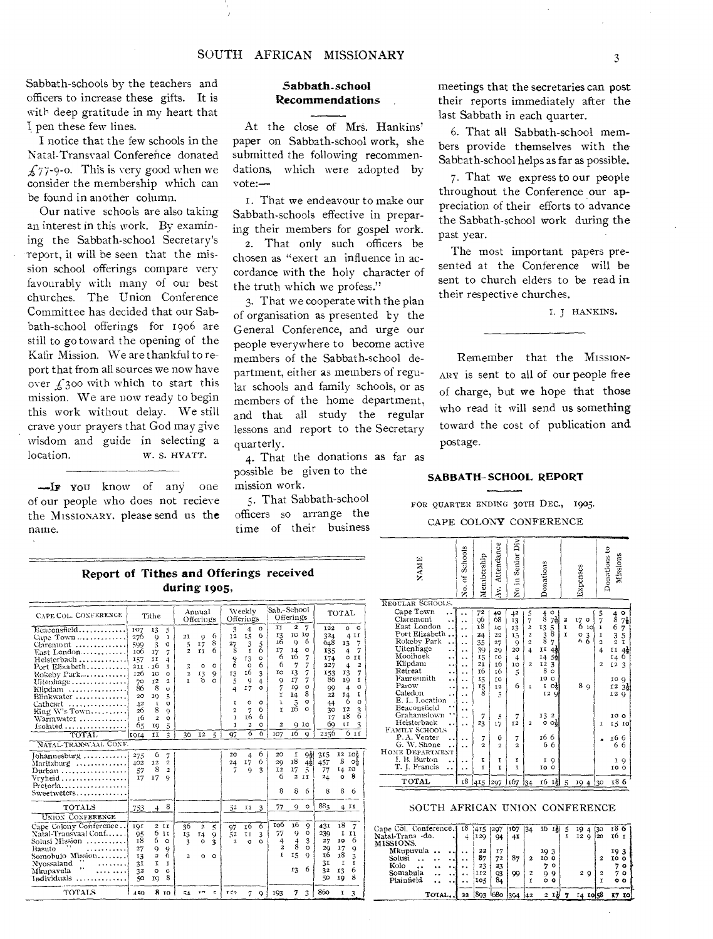Sabbath-schools by the teachers and officers to increase these gifts. It is with deep gratitude in my heart that I pen these few lines.

I notice that the few schools in the Natal-Transvaal Conference donated  $f_{77-9-0}$ . This is very good when we consider the membership which can be found in another column.

Our native schools are also taking an interest in this work. By examining the Sabbath-school Secretary's report, it will be seen that the mission school offerings compare very favourably with many of our best churches. The Union Conference Committee has decided that our Sabbath-school offerings for 1906 are still to go toward the opening of the Kafir Mission. We are thankful to report that from all sources we now have over  $\zeta$  300 with which to start this mission. We are now ready to begin this work without delay. We still crave your prayers that God may give wisdom and guide in selecting a location. W. S. HYATT.

**—IF** you know of any one of our people who does not recieve the MISSIONARY, please send us the name.

# **Sabbath-school Recommendations**

At the close of Mrs. Hankins' paper on Sabbath-school work, she submitted the following recommendations, which were adopted by  $\mathbf{v}$ ote: $\qquad$ 

1. That we endeavour to make our Sabbath-schools effective in preparing their members for gospel work. 2. That only such officers be chosen as "exert an influence in accordance with the holy character of the truth which we profess."

3. That we cooperate with the plan of organisation as presented by the General Conference, and urge our people everywhere to become active members of the Sabbath-school department, either as members of regular schools and family schools, or as members of the home department, and that all study the regular lessons and report to the Secretary quarterly.

4. That the donations as far as possible be given to the mission work.

That Sabbath-school officers so arrange the time of their business meetings that the secretaries can post their reports immediately after the last Sabbath in each quarter.

6. That all Sabbath-school members provide themselves with the Sabbath-school helps as far as possible.

7. That we express to our people throughout the Conference our appreciation of their efforts to advance the Sabbath-school work during the past year.

The most important papers presented at the Conference will be sent to church elders to be read in their respective churches.

T. J HANKINS.

Remember that the MISSION-ARY is sent to all of our people free of charge, but we hope that those who read it will send us something toward the cost of publication and. postage.

# **SABBATH- SCHOOL REPORT**

FOR QUARTER ENDING 30TH DEC., 1905.

#### CAPE COLONY CONFERENCE

| Report of Tithes and Offerings received |  | $\begin{array}{c c}\n\hline\n\text{.} & \text{.} & \text{.} \\ \hline\n\text{fentber:} & \text{Atten} \\ \hline\n\text{.} & \text{Atten} \\ \hline\n\text{.} & \text{Atten} \\ \hline\n\text{.} & \text{Atten} \\ \hline\n\text{.} & \text{Atten} \\ \hline\n\text{.} & \text{Atten} \\ \hline\n\text{.} & \text{Atten} \\ \hline\n\text{.} & \text{Atten} \\ \hline\n\text{.} & \text{Atten} \\ \hline\n\text{.} & \text{Atten} \\ \hline\n\text{.} & \text{Atten$ |  |
|-----------------------------------------|--|---------------------------------------------------------------------------------------------------------------------------------------------------------------------------------------------------------------------------------------------------------------------------------------------------------------------------------------------------------------------------------------------------------------------------------------------------------------------|--|
| during 1905,                            |  |                                                                                                                                                                                                                                                                                                                                                                                                                                                                     |  |

| CAPE COL. CONFERENCE                                                                                                                                                        |                                                                                         | Tithe                                                                     |                                                                              | Annual<br>Offerings                                   |                                            | Weekly<br>Offerings               |                                                                            |                                                               | Sab.-School<br>Offerings                                        |                                                               |                                                                  | TOTAL                                                                    |                                                                             |                                                                           |                                                                                                                           |
|-----------------------------------------------------------------------------------------------------------------------------------------------------------------------------|-----------------------------------------------------------------------------------------|---------------------------------------------------------------------------|------------------------------------------------------------------------------|-------------------------------------------------------|--------------------------------------------|-----------------------------------|----------------------------------------------------------------------------|---------------------------------------------------------------|-----------------------------------------------------------------|---------------------------------------------------------------|------------------------------------------------------------------|--------------------------------------------------------------------------|-----------------------------------------------------------------------------|---------------------------------------------------------------------------|---------------------------------------------------------------------------------------------------------------------------|
| Beaconsfield<br>Cape Town<br>$Clar$ emont<br>East London<br>Heisterbach<br>Port Elizabeth<br>Rokeby Park<br>Uitenhage<br>Klipdam<br>Blinkwater<br>Cathcart<br>King W's Town | 107<br>276<br>599<br>106<br>157<br>211<br>126<br>70<br>86<br>20<br>4 <sup>2</sup><br>26 | 13<br>$\mathbf Q$<br>3<br>17<br>II<br>16<br>10<br>12<br>8<br>19<br>T<br>8 | 5<br>1<br>o<br>7<br>4<br>٢<br>o<br>$\overline{2}$<br>ū<br>5<br>o<br>$\Omega$ | 21<br>5<br>$\overline{2}$<br>3<br>$\overline{a}$<br>r | O)<br>17<br><b>TT</b><br>o<br>13<br>'n.    | 6<br>8<br>6<br>о<br>9<br>$\Omega$ | 3<br>12<br>27<br>8<br>$\frac{9}{6}$<br>13<br>5<br>4<br>٢<br>$\overline{2}$ | 4<br>15<br>3<br>r<br>13<br>$\circ$<br>16<br>9<br>I7<br>o<br>7 | $\circ$<br>6<br>5<br>6<br>$\circ$<br>6<br>3<br>4<br>o<br>o<br>6 | IJ<br>13<br>16<br>17<br>6<br>6<br>ĨО<br>9<br>7<br>r<br>ı<br>T | 2<br>IO<br>9<br>14<br>т6<br>7<br>13<br>17<br>19<br>14<br>5<br>16 | 7<br>10<br>6<br>$\Omega$<br>7<br>7<br>7<br>$\circ$<br>8<br>o<br>$\Omega$ | 122<br>324<br>648<br>135<br>174<br>227<br>153<br>86<br>99<br>22<br>44<br>30 | o<br>13<br>$\ddot{a}$<br>4<br>13<br>19<br>$\overline{a}$<br>14<br>6<br>12 | $\circ$<br>11<br>4<br>7<br>7<br><b>TI</b><br>o<br>$\overline{\mathbf{2}}$<br>7<br>r<br>Ó<br>I<br>$\circ$<br>$\frac{3}{6}$ |
| Warmwater<br>Isolated                                                                                                                                                       | <b>16</b><br>65                                                                         | $\overline{2}$<br>ΙQ                                                      | o<br>5                                                                       |                                                       |                                            |                                   | τ<br>T.                                                                    | 16<br>2                                                       | 6<br>o                                                          | $\overline{\mathbf{c}}$                                       |                                                                  | 910                                                                      | 17<br>60                                                                    | 18<br>$\mathbf{I}$                                                        | 3                                                                                                                         |
| TOTAL                                                                                                                                                                       | 1914                                                                                    | χI                                                                        | $\ddot{\mathbf{a}}$                                                          | 36                                                    | 12                                         | $\frac{5}{2}$                     | 97                                                                         | 6                                                             | 6                                                               | 107                                                           | 16                                                               | Q                                                                        | 2156                                                                        |                                                                           | 6 11                                                                                                                      |
| NATAL-TRANSVAAL CONF.                                                                                                                                                       |                                                                                         |                                                                           |                                                                              |                                                       |                                            |                                   |                                                                            |                                                               |                                                                 |                                                               |                                                                  |                                                                          |                                                                             |                                                                           |                                                                                                                           |
| Johannesburg<br>Maritzburg<br>Durban<br>Vryheid<br>Pretoria<br>$Sweetweters, \ldots, \ldots, \ldots$                                                                        | 275<br>402<br>57<br>I7                                                                  | 6<br>12<br>8<br>17                                                        | 7<br>$\overline{c}$<br>$\overline{2}$<br>$\Omega$                            |                                                       |                                            |                                   | 20<br>24<br>7                                                              | $\overline{4}$<br>17<br>Q                                     | 6<br>6<br>3                                                     | 20<br>29<br><b>I2</b><br>6<br>8                               | r<br>18<br>17<br>$\overline{\mathbf{c}}$<br>8                    | 9ả<br>$4\frac{1}{2}$<br>5<br>II<br>6                                     | 315<br>457<br>77<br>24<br>8                                                 | 12<br>8<br>14<br>$\Omega$<br>8                                            | 10 <sub>5</sub><br>оş<br>IO<br>8<br>6                                                                                     |
| TOTALS                                                                                                                                                                      | 753                                                                                     | 4                                                                         | 8                                                                            |                                                       |                                            |                                   | 52                                                                         | IJ                                                            | 3                                                               | 77                                                            | 9                                                                | ۰                                                                        | 883                                                                         |                                                                           | 4 II                                                                                                                      |
| UNION CONFERENCE                                                                                                                                                            |                                                                                         |                                                                           |                                                                              |                                                       |                                            |                                   |                                                                            |                                                               |                                                                 |                                                               |                                                                  |                                                                          |                                                                             |                                                                           |                                                                                                                           |
| Cape Colony Conference<br>Natal-Transvaal Conf<br>Solusi Mission<br>Rasuto<br>Somobulo Mission<br>Nyossaland<br>Mkupavula<br>.<br>$Individuals$ ,                           | 191<br>95<br>18<br>27<br>13<br>3 <sub>1</sub><br>32<br>50                               | $\mathbf{z}$<br>6<br>6<br>9<br>$\overline{a}$<br>I<br>$\circ$<br>19       | H<br>ı٢<br>$\circ$<br>$\mathbf Q$<br>6<br>1<br>Ó<br>8                        | 36<br>13<br>3<br>$\overline{a}$                       | $\overline{a}$<br>I4<br>$\circ$<br>$\circ$ | 5<br>9<br>3<br>$\Omega$           | 97<br>52<br>$\overline{a}$                                                 | τ6<br>IJ<br>Ω                                                 | 6<br>3<br>$\Omega$                                              | тоб<br>77<br>4<br>$\overline{2}$<br>r                         | 16<br>9<br>$\overline{4}$<br>8<br>15<br>13                       | ç<br>o<br>3<br>$\Omega$<br>$\mathbf Q$<br>6                              | 431<br>239<br>27<br>20<br>16<br>31<br>32<br>50                              | 18<br>x<br>IO<br>17<br>18<br>I<br>13<br>19                                | 7<br>11<br>6<br>9<br>3<br>۳<br>6<br>8                                                                                     |
| TOTALS                                                                                                                                                                      | 450                                                                                     |                                                                           | 8 TO                                                                         | 54                                                    |                                            | $\epsilon$                        | エピク                                                                        | 7                                                             | o                                                               | 193                                                           | 7                                                                | 3                                                                        | 860                                                                         | x                                                                         | 3                                                                                                                         |

|                                                                                                | during 1905,                                                                                                                                                              |                                                                                                                                                                                                                                                                                                                | es and Offerings received                                                                                                                                                                                                                                                                                               |                                                                                                                                                                                                                                                                                                                             | <b>NAME</b>                                                                                                                                                                                                                                                                                                 | Schools<br>$\widetilde{\sigma}$<br>Ş.                                             | embership<br>ż                                                                | Attendance<br>Ã.                                                        | Div<br>Senior<br>$\mathbf{r}$<br>÷<br>š                               |                                                                                                  | Donations                                                                                                                                                         |                        | Expenses                                                                             |                                                             | 2<br>Missions<br>Donations                                                                                                                                                        |  |  |
|------------------------------------------------------------------------------------------------|---------------------------------------------------------------------------------------------------------------------------------------------------------------------------|----------------------------------------------------------------------------------------------------------------------------------------------------------------------------------------------------------------------------------------------------------------------------------------------------------------|-------------------------------------------------------------------------------------------------------------------------------------------------------------------------------------------------------------------------------------------------------------------------------------------------------------------------|-----------------------------------------------------------------------------------------------------------------------------------------------------------------------------------------------------------------------------------------------------------------------------------------------------------------------------|-------------------------------------------------------------------------------------------------------------------------------------------------------------------------------------------------------------------------------------------------------------------------------------------------------------|-----------------------------------------------------------------------------------|-------------------------------------------------------------------------------|-------------------------------------------------------------------------|-----------------------------------------------------------------------|--------------------------------------------------------------------------------------------------|-------------------------------------------------------------------------------------------------------------------------------------------------------------------|------------------------|--------------------------------------------------------------------------------------|-------------------------------------------------------------|-----------------------------------------------------------------------------------------------------------------------------------------------------------------------------------|--|--|
|                                                                                                | Annual                                                                                                                                                                    | Weekly                                                                                                                                                                                                                                                                                                         | Sab.-School<br>Offerings                                                                                                                                                                                                                                                                                                | TOTAL                                                                                                                                                                                                                                                                                                                       | REGULAR SCHOOLS.<br>Cape Town<br>$\ddot{\phantom{0}}$                                                                                                                                                                                                                                                       |                                                                                   | 72                                                                            | $^{40}_{68}$                                                            | $^{+2}_{13}$                                                          | $\frac{5}{7}$                                                                                    | $\circ$<br>$\frac{4}{8}$                                                                                                                                          |                        |                                                                                      | 5                                                           | $rac{4}{8}$ $rac{0}{7}$                                                                                                                                                           |  |  |
| 5<br>$\mathbf{1}$<br>o<br>7<br>4<br>1<br>о<br>$\mathbf{2}$<br>Ō.<br>5<br>o<br>9<br>o<br>5<br>3 | Offerings<br>6<br>21<br>9<br>8<br>17<br>6<br>$\mathbf{z}$<br>II<br>3<br>o<br>$\circ$<br>13<br>9<br>$\overline{\mathbf{z}}$<br>o<br>$\Omega$<br>36<br>$\overline{5}$<br>12 | Offerings<br>3<br>o<br>4<br>6<br>15<br>12<br>5<br>3<br>27<br>8<br>6<br>$\mathbf{r}$<br>13<br>$\circ$<br>9<br>6<br>ò<br>$\circ$<br>16<br>3<br><b>13</b><br>9<br>5<br>4<br>I7<br>$\circ$<br>4<br>$\circ$<br>o<br>6<br>7<br>$\overline{2}$<br>6<br>16<br>$\mathbf{T}$<br>o<br>$\overline{a}$<br>т<br>6<br>6<br>97 | $\mathbf{z}$<br>$\overline{7}$<br>II.<br><b>10 10</b><br>13<br>6<br>ıб<br>9<br>17<br>$\circ$<br>14<br>6<br>7<br>16<br>6<br>7<br>7<br>7<br>13<br>IО<br>17<br>7<br>9<br>19<br>ο<br>8<br>14<br>r<br>$\frac{5}{16}$<br>o<br>λ<br>$\circ$<br>$\mathbf{I}$<br>$Q$ $IQ$<br>$\overline{\mathbf{c}}$<br>16<br>107<br>$\mathsf Q$ | 122<br>$O$ $O$<br>4 11<br>324<br>$\overline{7}$<br>648<br>13<br>7<br>135<br>$\ddot{4}$<br>174<br>$0$ II<br>$\mathbf{2}$<br>227<br>4<br>7<br>13<br>$^{153}_{86}$<br>19<br>r<br>Ó<br>99<br>4<br>J <sub>4</sub><br>1<br>22<br>6<br>$\Omega$<br>44<br>12<br>3<br>30<br>18<br>6<br>I7<br>60<br>$\mathbf{I}$<br>3<br>2156<br>6 II | Claremont<br>East London<br>Port Elizabeth.<br>Rokeby Park<br>Uitenhage<br>زه ه<br>Mooihoek<br>$\ddot{\phantom{1}}$<br>Klipdam<br>ا ہ<br>Retreat<br><br>Fauresmith<br>$\ddot{\bullet}$<br>Parow<br>Caledon<br>E. L. Location<br>Beaconsfield<br>Grahamstown<br>Heisterback<br>FAMILY SCHOOLS<br>P.A. Venter | $\ddotsc$<br>$\ddot{\phantom{0}}$<br>$\ddot{\phantom{0}}$<br>$\ddot{\phantom{0}}$ | 06<br>í8<br>24<br>35<br>39<br>15<br>2I<br>16<br>15<br>15<br>8<br>7<br>23<br>7 | 10<br>22<br>27<br>29<br>10<br>16<br>16<br>10<br>12<br>5<br>5<br>17<br>6 | 13<br>15<br>9<br>20<br>$\overline{4}$<br>10<br>5<br>6<br>7<br>12<br>7 | $\boldsymbol{2}$<br>$\overline{a}$<br>$\overline{a}$<br>4<br>$\mathbf{z}$<br>1<br>$\overline{a}$ | $7\frac{1}{2}$<br>13<br>$\frac{5}{8}$<br>$\frac{3}{8}$<br>11<br>42<br>14<br>-54<br><b>12</b><br>3<br>8<br>$\Omega$<br>10 0<br>I oli<br>I2Q<br>13 2<br>000<br>16 б | $\mathbf{z}$<br>1<br>Y | 17<br>$\circ$<br>610<br>$\begin{smallmatrix} 0 & 3 \\ 6 & 6 \end{smallmatrix}$<br>89 | $\bf{I}$<br>1<br>$\overline{2}$<br>4<br>2<br>1<br>$\bullet$ | 7 <sub>1</sub><br>6<br>7<br>5<br>3<br>$\boldsymbol{2}$<br>T<br>$4\frac{1}{2}$<br>11<br>-6<br>14<br>12 <sub>3</sub><br>100<br>$3\frac{1}{2}$<br>12<br>I2 9<br>10 o<br>1510<br>16 6 |  |  |
| 7<br>$\overline{a}$                                                                            |                                                                                                                                                                           | 6<br>20<br>4<br>17<br>6<br>24                                                                                                                                                                                                                                                                                  | $\frac{9\frac{1}{2}}{4\frac{1}{2}}$<br>20<br>1<br>18<br>29                                                                                                                                                                                                                                                              | 12 10}<br>315<br>8<br>457<br>$\mathbf{O}^{\mathbf{A}}_{\mathbf{Q}}$                                                                                                                                                                                                                                                         | G. W. Shone<br>HOME DEPARTMENT<br>I. B. Burton                                                                                                                                                                                                                                                              | . .                                                                               | $\overline{a}$<br>T                                                           | $\overline{2}$<br>т                                                     | $\overline{a}$<br>1                                                   |                                                                                                  | 66<br>I 9                                                                                                                                                         |                        |                                                                                      |                                                             | 66<br>IQ                                                                                                                                                                          |  |  |
| $\mathbf 2$<br>9                                                                               |                                                                                                                                                                           | $\overline{7}$<br>3<br>$\mathbf Q$                                                                                                                                                                                                                                                                             | 17<br>5<br>I <sub>2</sub><br>6<br>$2$ II                                                                                                                                                                                                                                                                                | 77<br>ΙO<br>$^{14}$<br>8<br>24<br>$\circ$                                                                                                                                                                                                                                                                                   | T. J. Francis<br>٠.<br><b>TOTAL</b>                                                                                                                                                                                                                                                                         |                                                                                   | r<br>18 415 297 167 34                                                        | Ţ                                                                       | x                                                                     |                                                                                                  | IO 0                                                                                                                                                              |                        | $16 \frac{11}{2}$ 5 $194$ 30                                                         |                                                             | 10 O<br>186                                                                                                                                                                       |  |  |
|                                                                                                |                                                                                                                                                                           |                                                                                                                                                                                                                                                                                                                | 8<br>8<br>6                                                                                                                                                                                                                                                                                                             | 8<br>8<br>6                                                                                                                                                                                                                                                                                                                 |                                                                                                                                                                                                                                                                                                             |                                                                                   |                                                                               |                                                                         |                                                                       |                                                                                                  |                                                                                                                                                                   |                        |                                                                                      |                                                             |                                                                                                                                                                                   |  |  |

#### SOUTH AFRICAN UNION CONFERENCE

| Cape Col. Conference. | 18  | 415 | 1297 | 167 | 134 | 珐<br>16          | 19   | 130<br>4 |   | 18 б       |  |
|-----------------------|-----|-----|------|-----|-----|------------------|------|----------|---|------------|--|
| Natal-Trans -do.      |     | 120 | 94   | 41  |     |                  | I2 Q | 20       |   | 16 т       |  |
| MISSIONS.             |     |     |      |     |     |                  |      |          |   |            |  |
| Mkupuvula             |     | 22  | 17   |     |     | 193              |      |          |   | 19 3       |  |
| Solusi                |     | 87  | 72   | 87  | 2   | 10 O             |      |          | 2 | 10 O       |  |
| Kolo                  | . . | 23  | 23   |     |     | 7.<br>$^{\circ}$ |      |          |   | o          |  |
| $\cdot$               |     |     |      |     |     |                  |      |          |   |            |  |
| Somabula              |     | 112 | 93   | 99  | 2   | 99               | 2Q   |          |   | 70         |  |
| Plainfield            |     | 105 | 84   |     |     | 0<br>۰           |      |          |   | $^{\circ}$ |  |
|                       |     |     |      |     |     |                  |      |          |   |            |  |
| TOTAL                 |     |     | 680  |     | 42  | 2                |      |          |   |            |  |